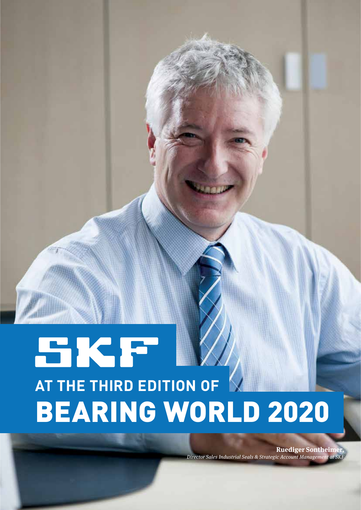# SKF **AT THE THIRD EDITION OF V** BEARING WORLD 2020

**Ruediger Sontheimer,** Director Sales Industrial Seals & Strategic Account Management at SKF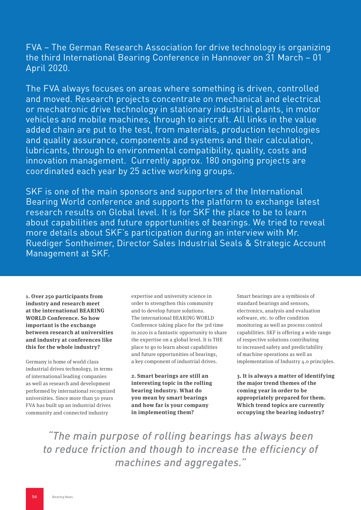FVA – The German Research Association for drive technology is organizing the third International Bearing Conference in Hannover on 31 March – 01 April 2020.

The FVA always focuses on areas where something is driven, controlled and moved. Research projects concentrate on mechanical and electrical or mechatronic drive technology in stationary industrial plants, in motor vehicles and mobile machines, through to aircraft. All links in the value added chain are put to the test, from materials, production technologies and quality assurance, components and systems and their calculation, lubricants, through to environmental compatibility, quality, costs and innovation management. Currently approx. 180 ongoing projects are coordinated each year by 25 active working groups.

SKF is one of the main sponsors and supporters of the International Bearing World conference and supports the platform to exchange latest research results on Global level. It is for SKF the place to be to learn about capabilities and future opportunities of bearings. We tried to reveal more details about SKF's participation during an interview with Mr. Ruediger Sontheimer, Director Sales Industrial Seals & Strategic Account Management at SKF.

**1. Over 250 participants from industry and research meet at the international BEARING WORLD Conference. So how important is the exchange between research at universities and industry at conferences like this for the whole industry?**

Germany is home of world class industrial drives technology, in terms of international leading companies as well as research and development performed by international recognized universities. Since more than 50 years FVA has built up an industrial drives community and connected industry

expertise and university science in order to strengthen this community and to develop future solutions. The international BEARING WORLD Conference taking place for the 3rd time in 2020 is a fantastic opportunity to share the expertise on a global level. It is THE place to go to learn about capabilities and future opportunities of bearings, a key component of industrial drives.

**2. Smart bearings are still an interesting topic in the rolling bearing industry. What do you mean by smart bearings and how far is your company in implementing them?**

Smart bearings are a symbiosis of standard bearings and sensors, electronics, analysis and evaluation software, etc. to offer condition monitoring as well as process control capabilities. SKF is offering a wide range of respective solutions contributing to increased safety and predictability of machine operations as well as implementation of Industry 4.0 principles.

**3. It is always a matter of identifying the major trend themes of the coming year in order to be appropriately prepared for them. Which trend topics are currently occupying the bearing industry?**

*"The main purpose of rolling bearings has always been to reduce friction and though to increase the efficiency of machines and aggregates."*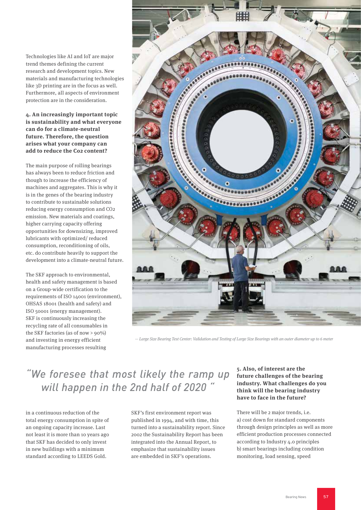Technologies like AI and IoT are major trend themes defining the current research and development topics. New materials and manufacturing technologies like 3D printing are in the focus as well. Furthermore, all aspects of environment protection are in the consideration.

### **4. An increasingly important topic is sustainability and what everyone can do for a climate-neutral future. Therefore, the question arises what your company can add to reduce the Co2 content?**

The main purpose of rolling bearings has always been to reduce friction and though to increase the efficiency of machines and aggregates. This is why it is in the genes of the bearing industry to contribute to sustainable solutions reducing energy consumption and CO2 emission. New materials and coatings, higher carrying capacity offering opportunities for downsizing, improved lubricants with optimized/ reduced consumption, reconditioning of oils, etc. do contribute heavily to support the development into a climate-neutral future.

The SKF approach to environmental, health and safety management is based on a Group-wide certification to the requirements of ISO 14001 (environment), OHSAS 18001 (health and safety) and ISO 50001 (energy management). SKF is continuously increasing the recycling rate of all consumables in the SKF factories (as of now > 90%) and investing in energy efficient manufacturing processes resulting



— Large Size Bearing Test Center: Validation and Testing of Large Size Bearings with an outer diameter up to 6 meter

## *"We foresee that most likely the ramp up will happen in the 2nd half of 2020 "*

in a continuous reduction of the total energy consumption in spite of an ongoing capacity increase. Last not least it is more than 10 years ago that SKF has decided to only invest in new buildings with a minimum standard according to LEEDS Gold.

SKF's first environment report was published in 1994, and with time, this turned into a sustainability report. Since 2002 the Sustainability Report has been integrated into the Annual Report, to emphasize that sustainability issues are embedded in SKF's operations.

#### **5. Also, of interest are the future challenges of the bearing industry. What challenges do you think will the bearing industry have to face in the future?**

There will be 2 major trends, i.e. a) cost down for standard components through design principles as well as more efficient production processes connected according to Industry 4.0 principles b) smart bearings including condition monitoring, load sensing, speed